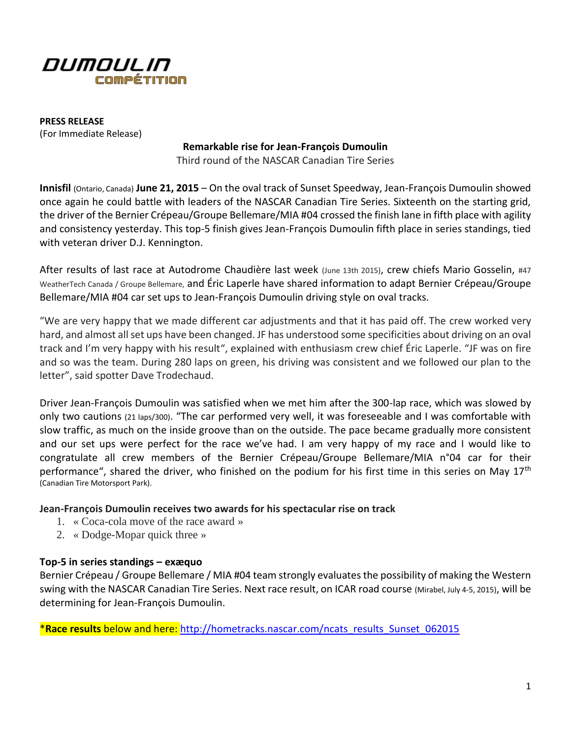

**PRESS RELEASE** (For Immediate Release)

## **Remarkable rise for Jean-François Dumoulin**

Third round of the NASCAR Canadian Tire Series

**Innisfil** (Ontario, Canada) **June 21, 2015** – On the oval track of Sunset Speedway, Jean-François Dumoulin showed once again he could battle with leaders of the NASCAR Canadian Tire Series. Sixteenth on the starting grid, the driver of the Bernier Crépeau/Groupe Bellemare/MIA #04 crossed the finish lane in fifth place with agility and consistency yesterday. This top-5 finish gives Jean-François Dumoulin fifth place in series standings, tied with veteran driver D.J. Kennington.

After results of last race at Autodrome Chaudière last week (June 13th 2015), crew chiefs Mario Gosselin, #47 WeatherTech Canada / Groupe Bellemare, and Éric Laperle have shared information to adapt Bernier Crépeau/Groupe Bellemare/MIA #04 car set ups to Jean-François Dumoulin driving style on oval tracks.

"We are very happy that we made different car adjustments and that it has paid off. The crew worked very hard, and almost all set ups have been changed. JF has understood some specificities about driving on an oval track and I'm very happy with his result", explained with enthusiasm crew chief Éric Laperle. "JF was on fire and so was the team. During 280 laps on green, his driving was consistent and we followed our plan to the letter", said spotter Dave Trodechaud.

Driver Jean-François Dumoulin was satisfied when we met him after the 300-lap race, which was slowed by only two cautions (21 laps/300). "The car performed very well, it was foreseeable and I was comfortable with slow traffic, as much on the inside groove than on the outside. The pace became gradually more consistent and our set ups were perfect for the race we've had. I am very happy of my race and I would like to congratulate all crew members of the Bernier Crépeau/Groupe Bellemare/MIA n°04 car for their performance", shared the driver, who finished on the podium for his first time in this series on May 17<sup>th</sup> (Canadian Tire Motorsport Park).

## **Jean-François Dumoulin receives two awards for his spectacular rise on track**

- 1. « Coca-cola move of the race award »
- 2. « Dodge-Mopar quick three »

## **Top-5 in series standings – exæquo**

Bernier Crépeau / Groupe Bellemare / MIA #04 team strongly evaluates the possibility of making the Western swing with the NASCAR Canadian Tire Series. Next race result, on ICAR road course (Mirabel, July 4-5, 2015), will be determining for Jean-François Dumoulin.

\***Race results** below and here: [http://hometracks.nascar.com/ncats\\_results\\_Sunset\\_062015](http://hometracks.nascar.com/ncats_results_Sunset_062015)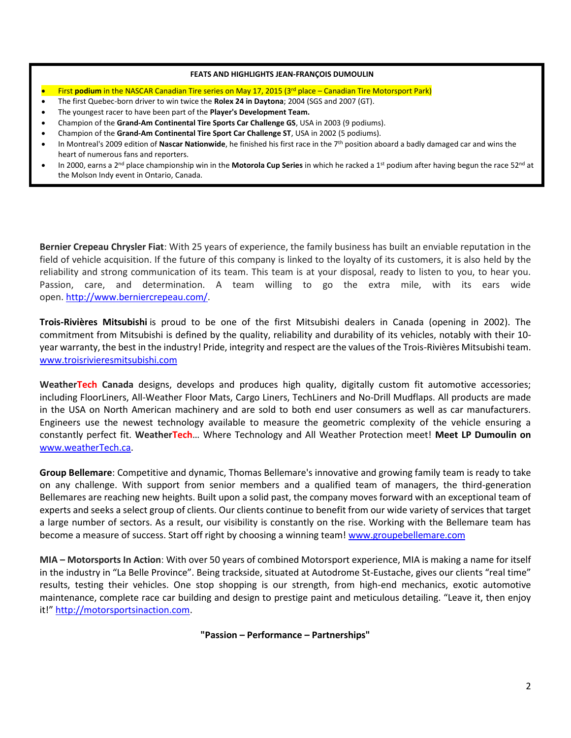### **FEATS AND HIGHLIGHTS JEAN-FRANÇOIS DUMOULIN**

- First **podium** in the NASCAR Canadian Tire series on May 17, 2015 (3<sup>rd</sup> place Canadian Tire Motorsport Park)
- The first Quebec-born driver to win twice the **Rolex 24 in Daytona**; 2004 (SGS and 2007 (GT).
- The youngest racer to have been part of the **Player's Development Team.**
- Champion of the **Grand-Am Continental Tire Sports Car Challenge GS**, USA in 2003 (9 podiums).
- Champion of the **Grand-Am Continental Tire Sport Car Challenge ST**, USA in 2002 (5 podiums).
- In Montreal's 2009 edition of **Nascar Nationwide**, he finished his first race in the 7<sup>th</sup> position aboard a badly damaged car and wins the heart of numerous fans and reporters.
- In 2000, earns a 2nd place championship win in the **Motorola Cup Series** in which he racked a 1st podium after having begun the race 52nd at the Molson Indy event in Ontario, Canada.

**Bernier Crepeau Chrysler Fiat**: With 25 years of experience, the family business has built an enviable reputation in the field of vehicle acquisition. If the future of this company is linked to the loyalty of its customers, it is also held by the reliability and strong communication of its team. This team is at your disposal, ready to listen to you, to hear you. Passion, care, and determination. A team willing to go the extra mile, with its ears wide open. [http://www.berniercrepeau.com/.](http://www.berniercrepeau.com/)

**Trois-Rivières Mitsubishi** is proud to be one of the first Mitsubishi dealers in Canada (opening in 2002). The commitment from Mitsubishi is defined by the quality, reliability and durability of its vehicles, notably with their 10 year warranty, the best in the industry! Pride, integrity and respect are the values of the Trois-Rivières Mitsubishi team. [www.troisrivieresmitsubishi.com](http://www.troisrivieresmitsubishi.com/)

**WeatherTech Canada** designs, develops and produces high quality, digitally custom fit automotive accessories; including FloorLiners, All-Weather Floor Mats, Cargo Liners, TechLiners and No-Drill Mudflaps. All products are made in the USA on North American machinery and are sold to both end user consumers as well as car manufacturers. Engineers use the newest technology available to measure the geometric complexity of the vehicle ensuring a constantly perfect fit. **WeatherTech**… Where Technology and All Weather Protection meet! **Meet LP Dumoulin on** [www.weatherTech.ca.](http://www.weathertech.ca/)

**Group Bellemare**: Competitive and dynamic, Thomas Bellemare's innovative and growing family team is ready to take on any challenge. With support from senior members and a qualified team of managers, the third-generation Bellemares are reaching new heights. Built upon a solid past, the company moves forward with an exceptional team of experts and seeks a select group of clients. Our clients continue to benefit from our wide variety of services that target a large number of sectors. As a result, our visibility is constantly on the rise. Working with the Bellemare team has become a measure of success. Start off right by choosing a winning team[! www.groupebellemare.com](http://www.groupebellemare.com/)

**MIA – Motorsports In Action**: With over 50 years of combined Motorsport experience, MIA is making a name for itself in the industry in "La Belle Province". Being trackside, situated at Autodrome St-Eustache, gives our clients "real time" results, testing their vehicles. One stop shopping is our strength, from high-end mechanics, exotic automotive maintenance, complete race car building and design to prestige paint and meticulous detailing. "Leave it, then enjoy it!" [http://motorsportsinaction.com.](http://motorsportsinaction.com/)

**"Passion – Performance – Partnerships"**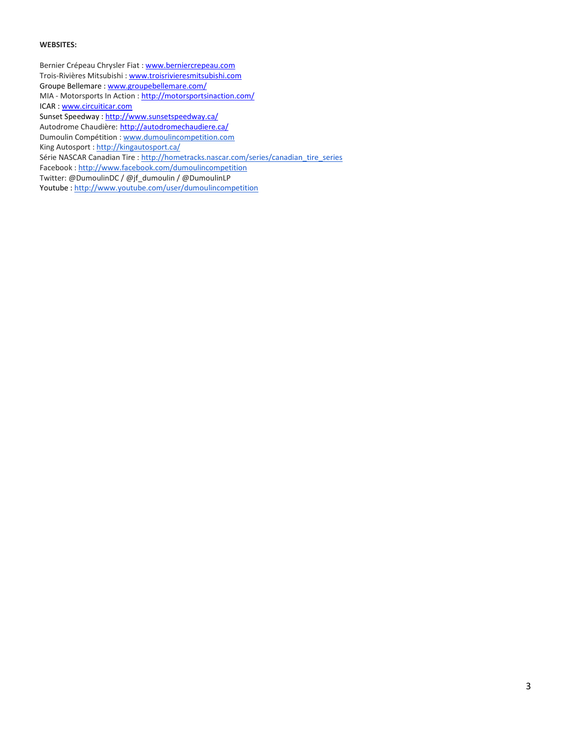#### **WEBSITES:**

Bernier Crépeau Chrysler Fiat [: www.berniercrepeau.com](http://www.berniercrepeau.com/) Trois-Rivières Mitsubishi [: www.troisrivieresmitsubishi.com](http://www.troisrivieresmitsubishi.com/) Groupe Bellemare [: www.groupebellemare.com/](http://www.groupebellemare.com/) MIA - Motorsports In Action [: http://motorsportsinaction.com/](http://motorsportsinaction.com/) ICAR [: www.circuiticar.com](http://www.circuiticar.com/) Sunset Speedway [: http://www.sunsetspeedway.ca/](http://www.sunsetspeedway.ca/) Autodrome Chaudière: <http://autodromechaudiere.ca/> Dumoulin Compétition : [www.dumoulincompetition.com](http://www.dumoulincompetition.com/) King Autosport : <http://kingautosport.ca/> Série NASCAR Canadian Tire : [http://hometracks.nascar.com/series/canadian\\_tire\\_series](http://hometracks.nascar.com/series/canadian_tire_series) Facebook : <http://www.facebook.com/dumoulincompetition> Twitter: @DumoulinDC / @jf\_dumoulin / @DumoulinLP

Youtube : <http://www.youtube.com/user/dumoulincompetition>